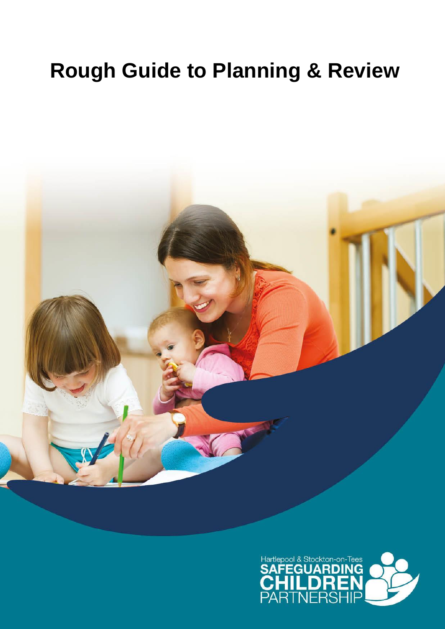# **Rough Guide to Planning & Review**



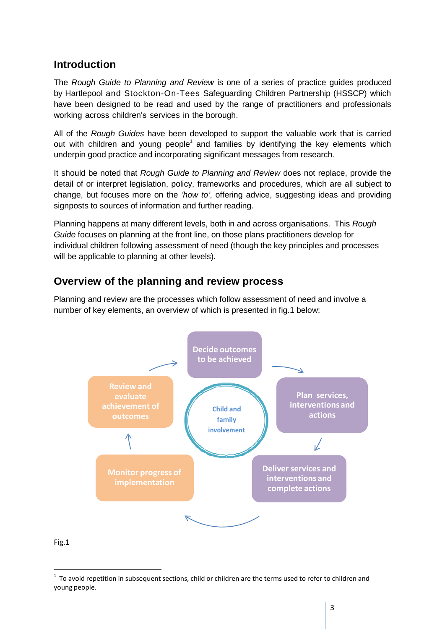## **Introduction**

The *Rough Guide to Planning and Review* is one of a series of practice guides produced by Hartlepool and Stockton-On-Tees Safeguarding Children Partnership (HSSCP) which have been designed to be read and used by the range of practitioners and professionals working across children's services in the borough.

All of the *Rough Guides* have been developed to support the valuable work that is carried out with children and young people<sup>1</sup> and families by identifying the key elements which underpin good practice and incorporating significant messages from research.

It should be noted that *Rough Guide to Planning and Review* does not replace, provide the detail of or interpret legislation, policy, frameworks and procedures, which are all subject to change, but focuses more on the *'how to'*, offering advice, suggesting ideas and providing signposts to sources of information and further reading.

Planning happens at many different levels, both in and across organisations. This *Rough Guide* focuses on planning at the front line, on those plans practitioners develop for individual children following assessment of need (though the key principles and processes will be applicable to planning at other levels).

## **Overview of the planning and review process**

Planning and review are the processes which follow assessment of need and involve a number of key elements, an overview of which is presented in fig.1 below:



#### Fig.1

 $1$  To avoid repetition in subsequent sections, child or children are the terms used to refer to children and young people.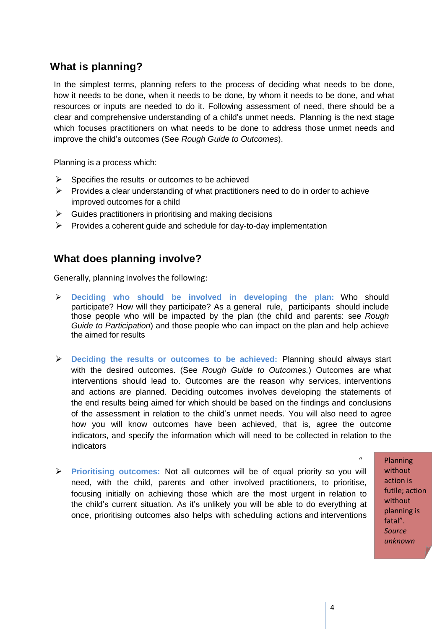# **What is planning?**

In the simplest terms, planning refers to the process of deciding what needs to be done, how it needs to be done, when it needs to be done, by whom it needs to be done, and what resources or inputs are needed to do it. Following assessment of need, there should be a clear and comprehensive understanding of a child's unmet needs. Planning is the next stage which focuses practitioners on what needs to be done to address those unmet needs and improve the child's outcomes (See *Rough Guide to Outcomes*).

Planning is a process which:

- $\triangleright$  Specifies the results or outcomes to be achieved
- $\triangleright$  Provides a clear understanding of what practitioners need to do in order to achieve improved outcomes for a child
- $\triangleright$  Guides practitioners in prioritising and making decisions
- $\triangleright$  Provides a coherent guide and schedule for day-to-day implementation

## **What does planning involve?**

Generally, planning involves the following:

- **Deciding who should be involved in developing the plan:** Who should participate? How will they participate? As a general rule, participants should include those people who will be impacted by the plan (the child and parents: see *Rough Guide to Participation*) and those people who can impact on the plan and help achieve the aimed for results
- **Deciding the results or outcomes to be achieved:** Planning should always start with the desired outcomes. (See *Rough Guide to Outcomes.*) Outcomes are what interventions should lead to. Outcomes are the reason why services, interventions and actions are planned. Deciding outcomes involves developing the statements of the end results being aimed for which should be based on the findings and conclusions of the assessment in relation to the child's unmet needs. You will also need to agree how you will know outcomes have been achieved, that is, agree the outcome indicators, and specify the information which will need to be collected in relation to the indicators
- **Prioritising outcomes:** Not all outcomes will be of equal priority so you will need, with the child, parents and other involved practitioners, to prioritise, focusing initially on achieving those which are the most urgent in relation to the child's current situation. As it's unlikely you will be able to do everything at once, prioritising outcomes also helps with scheduling actions and interventions

" Planning without action is futile; action without planning is fatal". *Source unknown*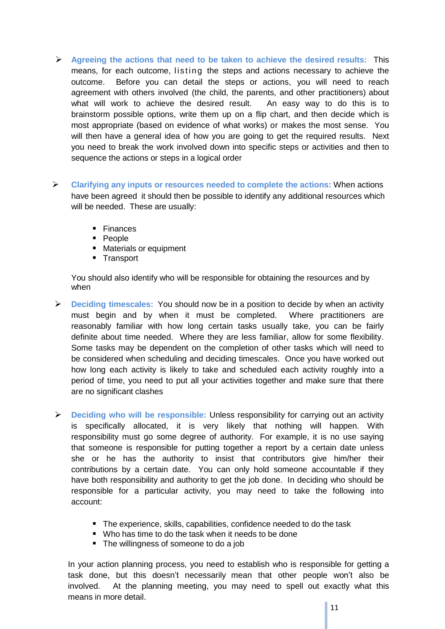- **Agreeing the actions that need to be taken to achieve the desired results:** This means, for each outcome, listing the steps and actions necessary to achieve the outcome. Before you can detail the steps or actions, you will need to reach agreement with others involved (the child, the parents, and other practitioners) about what will work to achieve the desired result. An easy way to do this is to brainstorm possible options, write them up on a flip chart, and then decide which is most appropriate (based on evidence of what works) or makes the most sense. You will then have a general idea of how you are going to get the required results. Next you need to break the work involved down into specific steps or activities and then to sequence the actions or steps in a logical order
- **Clarifying any inputs or resources needed to complete the actions:** When actions have been agreed it should then be possible to identify any additional resources which will be needed. These are usually:
	- **Finances**
	- **People**
	- **Materials or equipment**
	- **Transport**

You should also identify who will be responsible for obtaining the resources and by when

- **Deciding timescales:** You should now be in a position to decide by when an activity must begin and by when it must be completed. Where practitioners are reasonably familiar with how long certain tasks usually take, you can be fairly definite about time needed. Where they are less familiar, allow for some flexibility. Some tasks may be dependent on the completion of other tasks which will need to be considered when scheduling and deciding timescales. Once you have worked out how long each activity is likely to take and scheduled each activity roughly into a period of time, you need to put all your activities together and make sure that there are no significant clashes
- **Deciding who will be responsible:** Unless responsibility for carrying out an activity is specifically allocated, it is very likely that nothing will happen. With responsibility must go some degree of authority. For example, it is no use saying that someone is responsible for putting together a report by a certain date unless she or he has the authority to insist that contributors give him/her their contributions by a certain date. You can only hold someone accountable if they have both responsibility and authority to get the job done. In deciding who should be responsible for a particular activity, you may need to take the following into account:
	- The experience, skills, capabilities, confidence needed to do the task
	- Who has time to do the task when it needs to be done
	- The willingness of someone to do a job

In your action planning process, you need to establish who is responsible for getting a task done, but this doesn't necessarily mean that other people won't also be involved. At the planning meeting, you may need to spell out exactly what this means in more detail.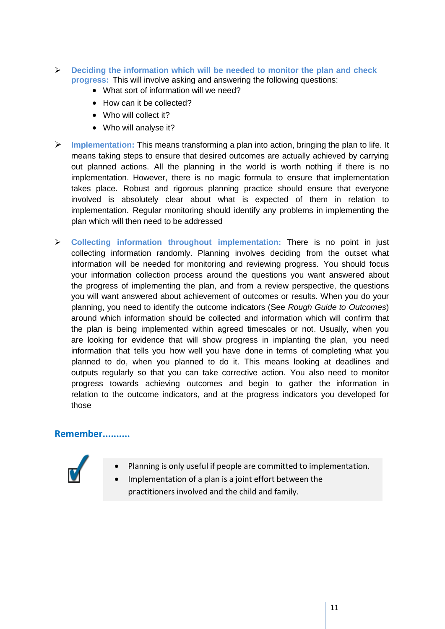- **Deciding the information which will be needed to monitor the plan and check progress:** This will involve asking and answering the following questions:
	- What sort of information will we need?
	- How can it be collected?
	- Who will collect it?
	- Who will analyse it?
- **Implementation:** This means transforming a plan into action, bringing the plan to life. It means taking steps to ensure that desired outcomes are actually achieved by carrying out planned actions. All the planning in the world is worth nothing if there is no implementation. However, there is no magic formula to ensure that implementation takes place. Robust and rigorous planning practice should ensure that everyone involved is absolutely clear about what is expected of them in relation to implementation. Regular monitoring should identify any problems in implementing the plan which will then need to be addressed
- **Collecting information throughout implementation:** There is no point in just collecting information randomly. Planning involves deciding from the outset what information will be needed for monitoring and reviewing progress. You should focus your information collection process around the questions you want answered about the progress of implementing the plan, and from a review perspective, the questions you will want answered about achievement of outcomes or results. When you do your planning, you need to identify the outcome indicators (See *Rough Guide to Outcomes*) around which information should be collected and information which will confirm that the plan is being implemented within agreed timescales or not. Usually, when you are looking for evidence that will show progress in implanting the plan, you need information that tells you how well you have done in terms of completing what you planned to do, when you planned to do it. This means looking at deadlines and outputs regularly so that you can take corrective action. You also need to monitor progress towards achieving outcomes and begin to gather the information in relation to the outcome indicators, and at the progress indicators you developed for those

## **Remember..........**



- Planning is only useful if people are committed to implementation.
- Implementation of a plan is a joint effort between the practitioners involved and the child and family.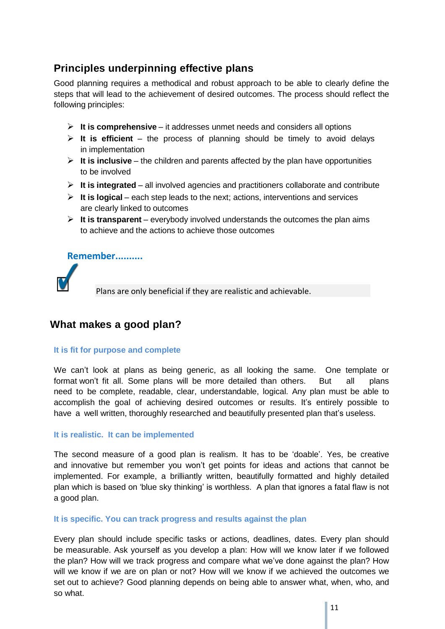# **Principles underpinning effective plans**

Good planning requires a methodical and robust approach to be able to clearly define the steps that will lead to the achievement of desired outcomes. The process should reflect the following principles:

- **It is comprehensive** it addresses unmet needs and considers all options
- $\triangleright$  **It is efficient** the process of planning should be timely to avoid delays in implementation
- $\triangleright$  **It is inclusive** the children and parents affected by the plan have opportunities to be involved
- $\triangleright$  **It is integrated** all involved agencies and practitioners collaborate and contribute
- **It is logical** each step leads to the next; actions, interventions and services are clearly linked to outcomes
- $\triangleright$  **It is transparent** everybody involved understands the outcomes the plan aims to achieve and the actions to achieve those outcomes

## **Remember..........**



Plans are only beneficial if they are realistic and achievable.

## **What makes a good plan?**

#### **It is fit for purpose and complete**

We can't look at plans as being generic, as all looking the same. One template or format won't fit all. Some plans will be more detailed than others. But all plans need to be complete, readable, clear, understandable, logical. Any plan must be able to accomplish the goal of achieving desired outcomes or results. It's entirely possible to have a well written, thoroughly researched and beautifully presented plan that's useless.

#### **It is realistic. It can be implemented**

The second measure of a good plan is realism. It has to be 'doable'. Yes, be creative and innovative but remember you won't get points for ideas and actions that cannot be implemented. For example, a brilliantly written, beautifully formatted and highly detailed plan which is based on 'blue sky thinking' is worthless. A plan that ignores a fatal flaw is not a good plan.

#### **It is specific. You can track progress and results against the plan**

Every plan should include specific tasks or actions, deadlines, dates. Every plan should be measurable. Ask yourself as you develop a plan: How will we know later if we followed the plan? How will we track progress and compare what we've done against the plan? How will we know if we are on plan or not? How will we know if we achieved the outcomes we set out to achieve? Good planning depends on being able to answer what, when, who, and so what.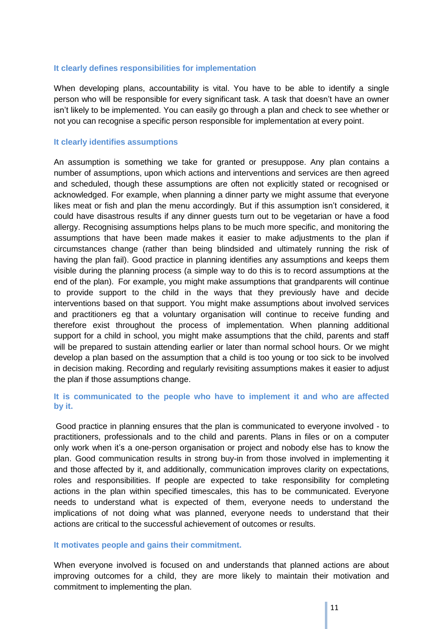#### **It clearly defines responsibilities for implementation**

When developing plans, accountability is vital. You have to be able to identify a single person who will be responsible for every significant task. A task that doesn't have an owner isn't likely to be implemented. You can easily go through a plan and check to see whether or not you can recognise a specific person responsible for implementation at every point.

#### **It clearly identifies assumptions**

An assumption is something we take for granted or presuppose. Any plan contains a number of assumptions, upon which actions and interventions and services are then agreed and scheduled, though these assumptions are often not explicitly stated or recognised or acknowledged. For example, when planning a dinner party we might assume that everyone likes meat or fish and plan the menu accordingly. But if this assumption isn't considered, it could have disastrous results if any dinner guests turn out to be vegetarian or have a food allergy. Recognising assumptions helps plans to be much more specific, and monitoring the assumptions that have been made makes it easier to make adjustments to the plan if circumstances change (rather than being blindsided and ultimately running the risk of having the plan fail). Good practice in planning identifies any assumptions and keeps them visible during the planning process (a simple way to do this is to record assumptions at the end of the plan). For example, you might make assumptions that grandparents will continue to provide support to the child in the ways that they previously have and decide interventions based on that support. You might make assumptions about involved services and practitioners eg that a voluntary organisation will continue to receive funding and therefore exist throughout the process of implementation. When planning additional support for a child in school, you might make assumptions that the child, parents and staff will be prepared to sustain attending earlier or later than normal school hours. Or we might develop a plan based on the assumption that a child is too young or too sick to be involved in decision making. Recording and regularly revisiting assumptions makes it easier to adjust the plan if those assumptions change.

#### **It is communicated to the people who have to implement it and who are affected by it.**

Good practice in planning ensures that the plan is communicated to everyone involved - to practitioners, professionals and to the child and parents. Plans in files or on a computer only work when it's a one-person organisation or project and nobody else has to know the plan. Good communication results in strong buy-in from those involved in implementing it and those affected by it, and additionally, communication improves clarity on expectations, roles and responsibilities. If people are expected to take responsibility for completing actions in the plan within specified timescales, this has to be communicated. Everyone needs to understand what is expected of them, everyone needs to understand the implications of not doing what was planned, everyone needs to understand that their actions are critical to the successful achievement of outcomes or results.

#### **It motivates people and gains their commitment.**

When everyone involved is focused on and understands that planned actions are about improving outcomes for a child, they are more likely to maintain their motivation and commitment to implementing the plan.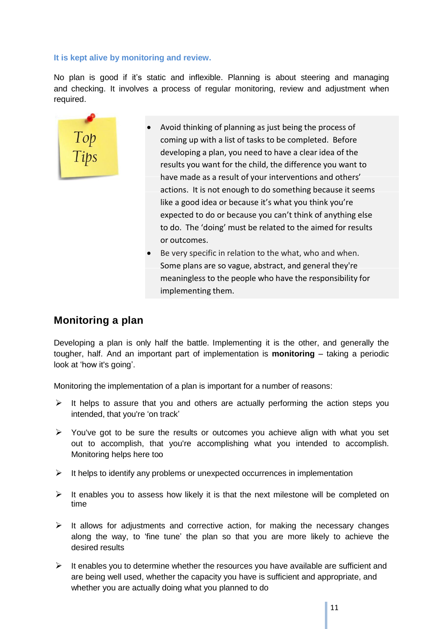#### **It is kept alive by monitoring and review.**

No plan is good if it's static and inflexible. Planning is about steering and managing and checking. It involves a process of regular monitoring, review and adjustment when required.



- Avoid thinking of planning as just being the process of coming up with a list of tasks to be completed. Before developing a plan, you need to have a clear idea of the results you want for the child, the difference you want to have made as a result of your interventions and others' actions. It is not enough to do something because it seems like a good idea or because it's what you think you're expected to do or because you can't think of anything else to do. The 'doing' must be related to the aimed for results or outcomes.
- Be very specific in relation to the what, who and when. Some plans are so vague, abstract, and general they're meaningless to the people who have the responsibility for implementing them.

# **Monitoring a plan**

Developing a plan is only half the battle. Implementing it is the other, and generally the tougher, half. And an important part of implementation is **monitoring** – taking a periodic look at 'how it's going'.

Monitoring the implementation of a plan is important for a number of reasons:

- $\triangleright$  It helps to assure that you and others are actually performing the action steps you intended, that you're 'on track'
- $\triangleright$  You've got to be sure the results or outcomes you achieve align with what you set out to accomplish, that you're accomplishing what you intended to accomplish. Monitoring helps here too
- $\triangleright$  It helps to identify any problems or unexpected occurrences in implementation
- $\triangleright$  It enables you to assess how likely it is that the next milestone will be completed on time
- $\triangleright$  It allows for adjustments and corrective action, for making the necessary changes along the way, to 'fine tune' the plan so that you are more likely to achieve the desired results
- $\triangleright$  It enables you to determine whether the resources you have available are sufficient and are being well used, whether the capacity you have is sufficient and appropriate, and whether you are actually doing what you planned to do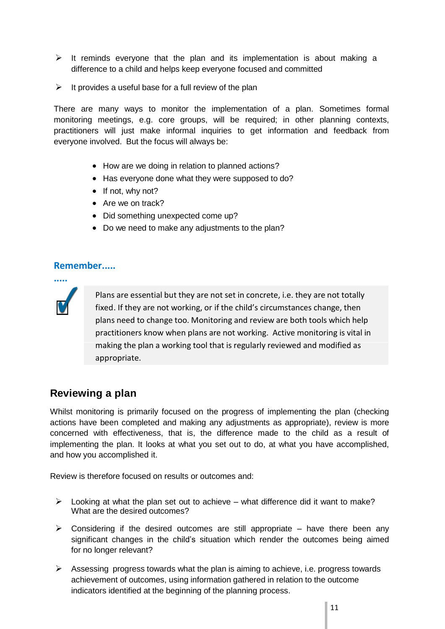- $\triangleright$  It reminds everyone that the plan and its implementation is about making a difference to a child and helps keep everyone focused and committed
- $\triangleright$  It provides a useful base for a full review of the plan

There are many ways to monitor the implementation of a plan. Sometimes formal monitoring meetings, e.g. core groups, will be required; in other planning contexts, practitioners will just make informal inquiries to get information and feedback from everyone involved. But the focus will always be:

- How are we doing in relation to planned actions?
- Has everyone done what they were supposed to do?
- $\bullet$  If not, why not?
- Are we on track?
- Did something unexpected come up?
- Do we need to make any adjustments to the plan?

## **Remember.....**



Plans are essential but they are not set in concrete, i.e. they are not totally fixed. If they are not working, or if the child's circumstances change, then plans need to change too. Monitoring and review are both tools which help practitioners know when plans are not working. Active monitoring is vital in making the plan a working tool that is regularly reviewed and modified as appropriate.

## **Reviewing a plan**

Whilst monitoring is primarily focused on the progress of implementing the plan (checking actions have been completed and making any adjustments as appropriate), review is more concerned with effectiveness, that is, the difference made to the child as a result of implementing the plan. It looks at what you set out to do, at what you have accomplished, and how you accomplished it.

Review is therefore focused on results or outcomes and:

- $\triangleright$  Looking at what the plan set out to achieve what difference did it want to make? What are the desired outcomes?
- $\triangleright$  Considering if the desired outcomes are still appropriate have there been any significant changes in the child's situation which render the outcomes being aimed for no longer relevant?
- $\triangleright$  Assessing progress towards what the plan is aiming to achieve, i.e. progress towards achievement of outcomes, using information gathered in relation to the outcome indicators identified at the beginning of the planning process.